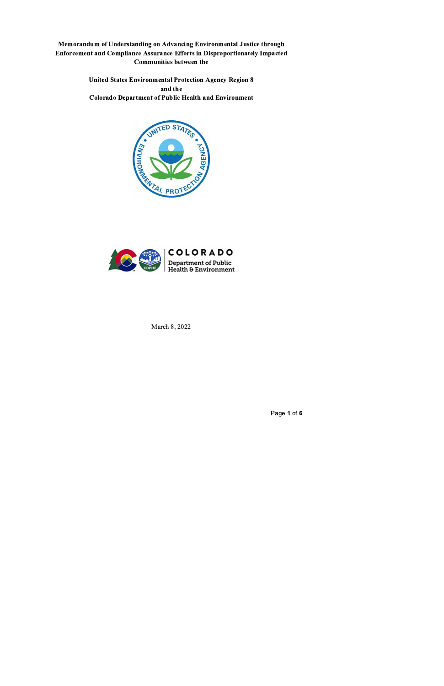Memorandum of Understanding on Advancing Environmental Justice through Enforcement and Compliance Assurance Efforts in Disproportionately Impacted **Communities between the** 

> **United States Environmental Protection Agency Region 8** and the **Colorado Department of Public Health and Environment**





March 8, 2022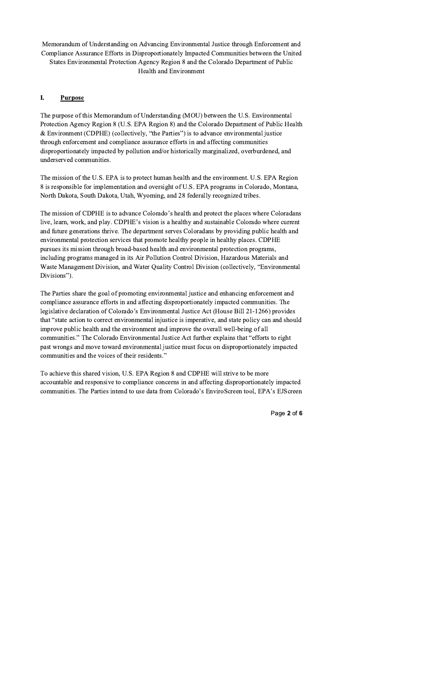Memorandum of Understanding on Advancing Environmental Justice through Enforcement and Compliance Assurance Efforts in Disproportionately Impacted Communities between the United States Environmental Protection Agency Region 8 and the Colorado Department of Public **Health and Environment** 

## I. **Purpose**

The purpose of this Memorandum of Understanding (MOU) between the U.S. Environmental Protection Agency Region 8 (U.S. EPA Region 8) and the Colorado Department of Public Health & Environment (CDPHE) (collectively, "the Parties") is to advance environmental justice through enforcement and compliance assurance efforts in and affecting communities disproportionately impacted by pollution and/or historically marginalized, overburdened, and underserved communities.

The mission of the U.S. EPA is to protect human health and the environment. U.S. EPA Region 8 is responsible for implementation and oversight of U.S. EPA programs in Colorado, Montana, North Dakota, South Dakota, Utah, Wyoming, and 28 federally recognized tribes.

The mission of CDPHE is to advance Colorado's health and protect the places where Coloradans live, learn, work, and play. CDPHE's vision is a healthy and sustainable Colorado where current and future generations thrive. The department serves Coloradans by providing public health and environmental protection services that promote healthy people in healthy places. CDPHE pursues its mission through broad-based health and environmental protection programs, including programs managed in its Air Pollution Control Division, Hazardous Materials and Waste Management Division, and Water Quality Control Division (collectively, "Environmental Divisions").

The Parties share the goal of promoting environmental justice and enhancing enforcement and compliance assurance efforts in and affecting disproportionately impacted communities. The legislative declaration of Colorado's Environmental Justice Act (House Bill 21-1266) provides that "state action to correct environmental injustice is imperative, and state policy can and should improve public health and the environment and improve the overall well-being of all communities." The Colorado Environmental Justice Act further explains that "efforts to right past wrongs and move toward environmental justice must focus on disproportionately impacted communities and the voices of their residents."

To achieve this shared vision, U.S. EPA Region 8 and CDPHE will strive to be more accountable and responsive to compliance concerns in and affecting disproportionately impacted communities. The Parties intend to use data from Colorado's EnviroScreen tool, EPA's EJScreen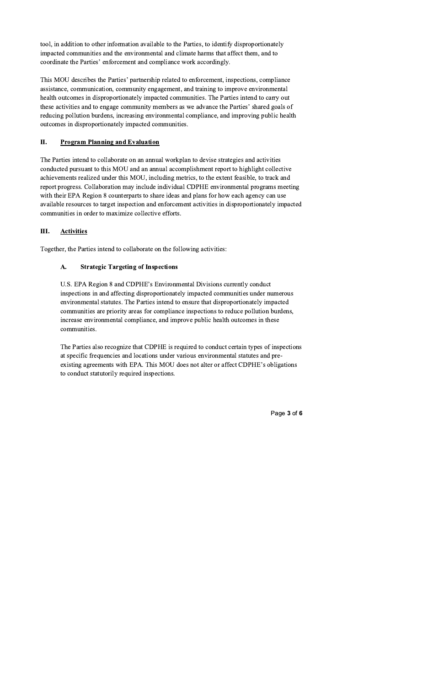tool, in addition to other information available to the Parties, to identify disproportionately impacted communities and the environmental and climate harms that affect them, and to coordinate the Parties' enforcement and compliance work accordingly.

This MOU describes the Parties' partnership related to enforcement, inspections, compliance assistance, communication, community engagement, and training to improve environmental health outcomes in disproportionately impacted communities. The Parties intend to carry out these activities and to engage community members as we advance the Parties' shared goals of reducing pollution burdens, increasing environmental compliance, and improving public health outcomes in disproportionately impacted communities.

# П. **Program Planning and Evaluation**

The Parties intend to collaborate on an annual workplan to devise strategies and activities conducted pursuant to this MOU and an annual accomplishment report to highlight collective achievements realized under this MOU, including metrics, to the extent feasible, to track and report progress. Collaboration may include individual CDPHE environmental programs meeting with their EPA Region 8 counterparts to share ideas and plans for how each agency can use available resources to target inspection and enforcement activities in disproportionately impacted communities in order to maximize collective efforts.

## III. **Activities**

Together, the Parties intend to collaborate on the following activities:

# **Strategic Targeting of Inspections** A.

U.S. EPA Region 8 and CDPHE's Environmental Divisions currently conduct inspections in and affecting disproportionately impacted communities under numerous environmental statutes. The Parties intend to ensure that disproportionately impacted communities are priority areas for compliance inspections to reduce pollution burdens, increase environmental compliance, and improve public health outcomes in these communities.

The Parties also recognize that CDPHE is required to conduct certain types of inspections at specific frequencies and locations under various environmental statutes and preexisting agreements with EPA. This MOU does not alter or affect CDPHE's obligations to conduct statutorily required inspections.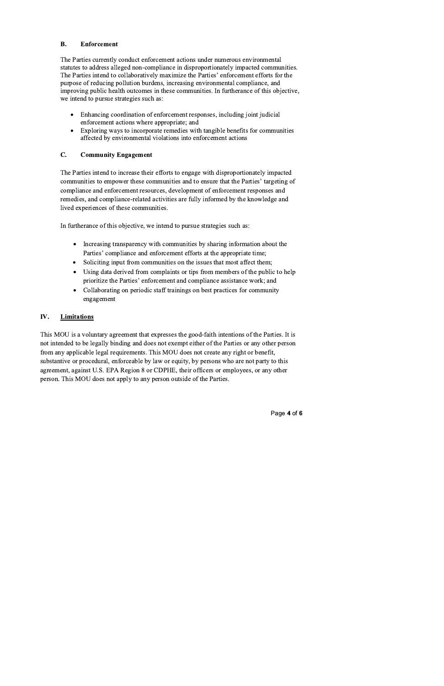#### **B. Enforcement**

The Parties currently conduct enforcement actions under numerous environmental statutes to address alleged non-compliance in disproportionately impacted communities. The Parties intend to collaboratively maximize the Parties' enforcement efforts for the purpose of reducing pollution burdens, increasing environmental compliance, and improving public health outcomes in these communities. In furtherance of this objective, we intend to pursue strategies such as:

- Enhancing coordination of enforcement responses, including joint judicial  $\bullet$ enforcement actions where appropriate; and
- Exploring ways to incorporate remedies with tangible benefits for communities  $\bullet$ affected by environmental violations into enforcement actions

## C. **Community Engagement**

The Parties intend to increase their efforts to engage with disproportionately impacted communities to empower these communities and to ensure that the Parties' targeting of compliance and enforcement resources, development of enforcement responses and remedies, and compliance-related activities are fully informed by the knowledge and lived experiences of these communities.

In furtherance of this objective, we intend to pursue strategies such as:

- Increasing transparency with communities by sharing information about the  $\bullet$ Parties' compliance and enforcement efforts at the appropriate time;
- Soliciting input from communities on the issues that most affect them;  $\bullet$
- Using data derived from complaints or tips from members of the public to help  $\bullet$ prioritize the Parties' enforcement and compliance assistance work; and
- Collaborating on periodic staff trainings on best practices for community  $\bullet$ engagement

# IV. **Limitations**

This MOU is a voluntary agreement that expresses the good-faith intentions of the Parties. It is not intended to be legally binding and does not exempt either of the Parties or any other person from any applicable legal requirements. This MOU does not create any right or benefit, substantive or procedural, enforceable by law or equity, by persons who are not party to this agreement, against U.S. EPA Region 8 or CDPHE, their officers or employees, or any other person. This MOU does not apply to any person outside of the Parties.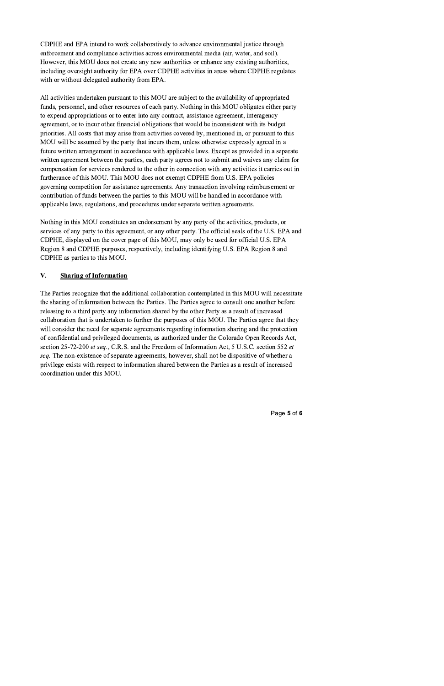CDPHE and EPA intend to work collaboratively to advance environmental justice through enforcement and compliance activities across environmental media (air, water, and soil). However, this MOU does not create any new authorities or enhance any existing authorities, including oversight authority for EPA over CDPHE activities in areas where CDPHE regulates with or without delegated authority from EPA.

All activities undertaken pursuant to this MOU are subject to the availability of appropriated funds, personnel, and other resources of each party. Nothing in this MOU obligates either party to expend appropriations or to enter into any contract, assistance agreement, interagency agreement, or to incur other financial obligations that would be inconsistent with its budget priorities. All costs that may arise from activities covered by, mentioned in, or pursuant to this MOU will be assumed by the party that incurs them, unless otherwise expressly agreed in a future written arrangement in accordance with applicable laws. Except as provided in a separate written agreement between the parties, each party agrees not to submit and waives any claim for compensation for services rendered to the other in connection with any activities it carries out in furtherance of this MOU. This MOU does not exempt CDPHE from U.S. EPA policies governing competition for assistance agreements. Any transaction involving reimbursement or contribution of funds between the parties to this MOU will be handled in accordance with applicable laws, regulations, and procedures under separate written agreements.

Nothing in this MOU constitutes an endorsement by any party of the activities, products, or services of any party to this agreement, or any other party. The official seals of the U.S. EPA and CDPHE, displayed on the cover page of this MOU, may only be used for official U.S. EPA Region 8 and CDPHE purposes, respectively, including identifying U.S. EPA Region 8 and CDPHE as parties to this MOU.

## V. **Sharing of Information**

The Parties recognize that the additional collaboration contemplated in this MOU will necessitate the sharing of information between the Parties. The Parties agree to consult one another before releasing to a third party any information shared by the other Party as a result of increased collaboration that is undertaken to further the purposes of this MOU. The Parties agree that they will consider the need for separate agreements regarding information sharing and the protection of confidential and privileged documents, as authorized under the Colorado Open Records Act, section 25-72-200 et seq., C.R.S. and the Freedom of Information Act, 5 U.S.C. section 552 et seq. The non-existence of separate agreements, however, shall not be dispositive of whether a privilege exists with respect to information shared between the Parties as a result of increased coordination under this MOU.